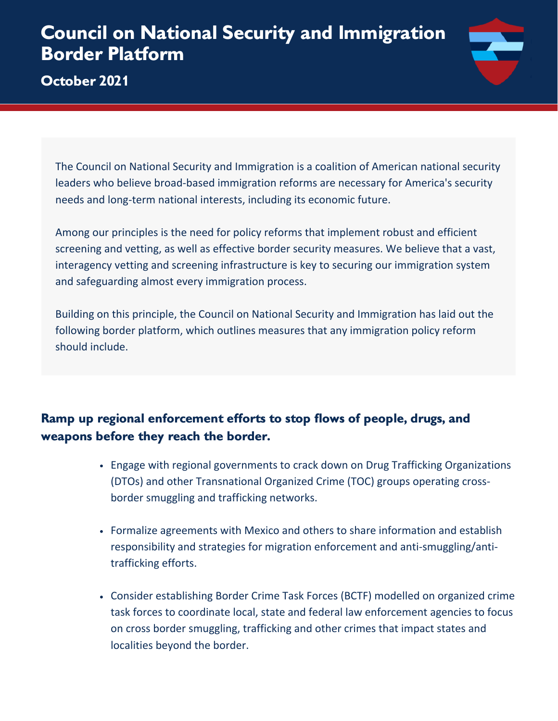# **Council on National Security and Immigration Border Platform**

## **October 2021**



The Council on National Security and Immigration is a coalition of American national security leaders who believe broad-based immigration reforms are necessary for America's security needs and long-term national interests, including its economic future.

Among our principles is the need for policy reforms that implement robust and efficient screening and vetting, as well as effective border security measures. We believe that a vast, interagency vetting and screening infrastructure is key to securing our immigration system and safeguarding almost every immigration process.

Building on this principle, the Council on National Security and Immigration has laid out the following border platform, which outlines measures that any immigration policy reform should include.

## **Ramp up regional enforcement efforts to stop flows of people, drugs, and weapons before they reach the border.**

- Engage with regional governments to crack down on Drug Trafficking Organizations (DTOs) and other Transnational Organized Crime (TOC) groups operating crossborder smuggling and trafficking networks.
- Formalize agreements with Mexico and others to share information and establish responsibility and strategies for migration enforcement and anti-smuggling/antitrafficking efforts.
- Consider establishing Border Crime Task Forces (BCTF) modelled on organized crime task forces to coordinate local, state and federal law enforcement agencies to focus on cross border smuggling, trafficking and other crimes that impact states and localities beyond the border.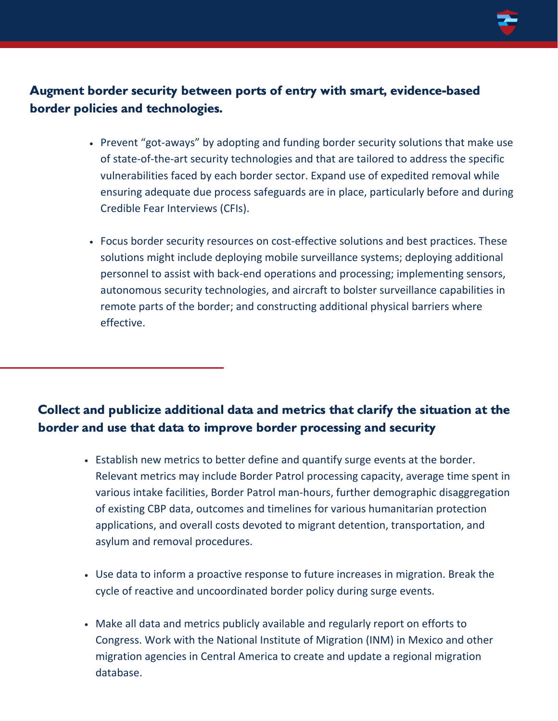

## **Augment border security between ports of entry with smart, evidence-based border policies and technologies.**

- Prevent "got-aways" by adopting and funding border security solutions that make use of state-of-the-art security technologies and that are tailored to address the specific vulnerabilities faced by each border sector. Expand use of expedited removal while ensuring adequate due process safeguards are in place, particularly before and during Credible Fear Interviews (CFIs).
- Focus border security resources on cost-effective solutions and best practices. These solutions might include deploying mobile surveillance systems; deploying additional personnel to assist with back-end operations and processing; implementing sensors, autonomous security technologies, and aircraft to bolster surveillance capabilities in remote parts of the border; and constructing additional physical barriers where effective.

#### **Collect and publicize additional data and metrics that clarify the situation at the border and use that data to improve border processing and security**

- Establish new metrics to better define and quantify surge events at the border. Relevant metrics may include Border Patrol processing capacity, average time spent in various intake facilities, Border Patrol man-hours, further demographic disaggregation of existing CBP data, outcomes and timelines for various humanitarian protection applications, and overall costs devoted to migrant detention, transportation, and asylum and removal procedures.
- Use data to inform a proactive response to future increases in migration. Break the cycle of reactive and uncoordinated border policy during surge events.
- Make all data and metrics publicly available and regularly report on efforts to Congress. Work with the National Institute of Migration (INM) in Mexico and other migration agencies in Central America to create and update a regional migration database.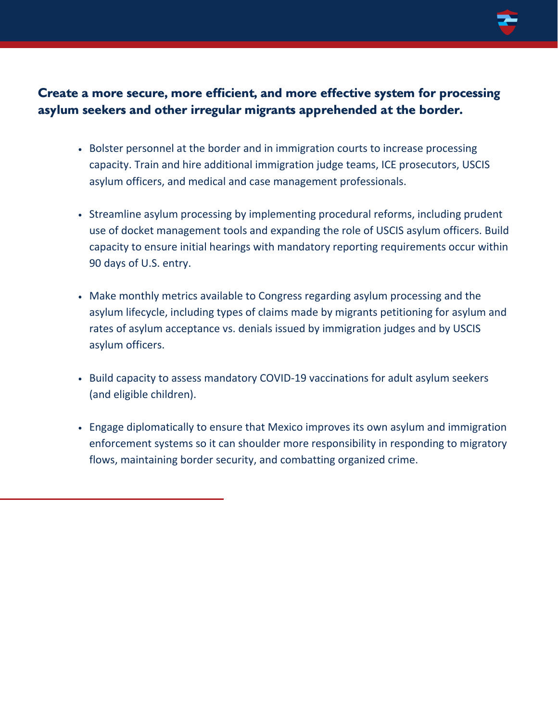

#### **Create a more secure, more efficient, and more effective system for processing asylum seekers and other irregular migrants apprehended at the border.**

- Bolster personnel at the border and in immigration courts to increase processing capacity. Train and hire additional immigration judge teams, ICE prosecutors, USCIS asylum officers, and medical and case management professionals.
- Streamline asylum processing by implementing procedural reforms, including prudent use of docket management tools and expanding the role of USCIS asylum officers. Build capacity to ensure initial hearings with mandatory reporting requirements occur within 90 days of U.S. entry.
- Make monthly metrics available to Congress regarding asylum processing and the asylum lifecycle, including types of claims made by migrants petitioning for asylum and rates of asylum acceptance vs. denials issued by immigration judges and by USCIS asylum officers.
- Build capacity to assess mandatory COVID-19 vaccinations for adult asylum seekers (and eligible children).
- Engage diplomatically to ensure that Mexico improves its own asylum and immigration enforcement systems so it can shoulder more responsibility in responding to migratory flows, maintaining border security, and combatting organized crime.